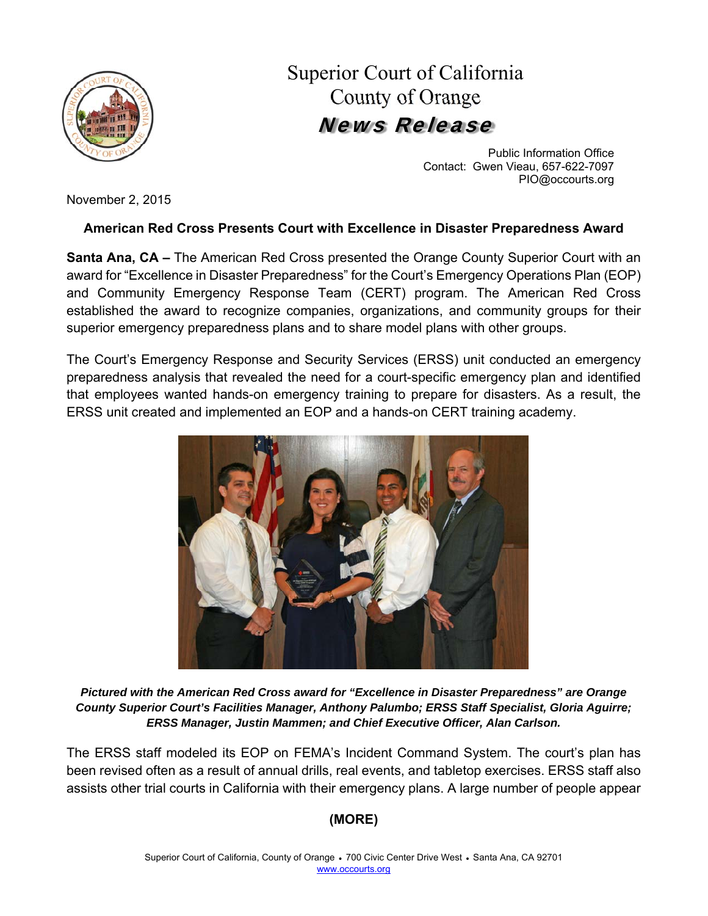

Superior Court of California County of Orange News Release

> Public Information Office Contact: Gwen Vieau, 657-622-7097 PIO@occourts.org

November 2, 2015

## **American Red Cross Presents Court with Excellence in Disaster Preparedness Award**

**Santa Ana, CA –** The American Red Cross presented the Orange County Superior Court with an award for "Excellence in Disaster Preparedness" for the Court's Emergency Operations Plan (EOP) and Community Emergency Response Team (CERT) program. The American Red Cross established the award to recognize companies, organizations, and community groups for their superior emergency preparedness plans and to share model plans with other groups.

The Court's Emergency Response and Security Services (ERSS) unit conducted an emergency preparedness analysis that revealed the need for a court-specific emergency plan and identified that employees wanted hands-on emergency training to prepare for disasters. As a result, the ERSS unit created and implemented an EOP and a hands-on CERT training academy.



*Pictured with the American Red Cross award for "Excellence in Disaster Preparedness" are Orange County Superior Court's Facilities Manager, Anthony Palumbo; ERSS Staff Specialist, Gloria Aguirre; ERSS Manager, Justin Mammen; and Chief Executive Officer, Alan Carlson.* 

The ERSS staff modeled its EOP on FEMA's Incident Command System. The court's plan has been revised often as a result of annual drills, real events, and tabletop exercises. ERSS staff also assists other trial courts in California with their emergency plans. A large number of people appear

## **(MORE)**